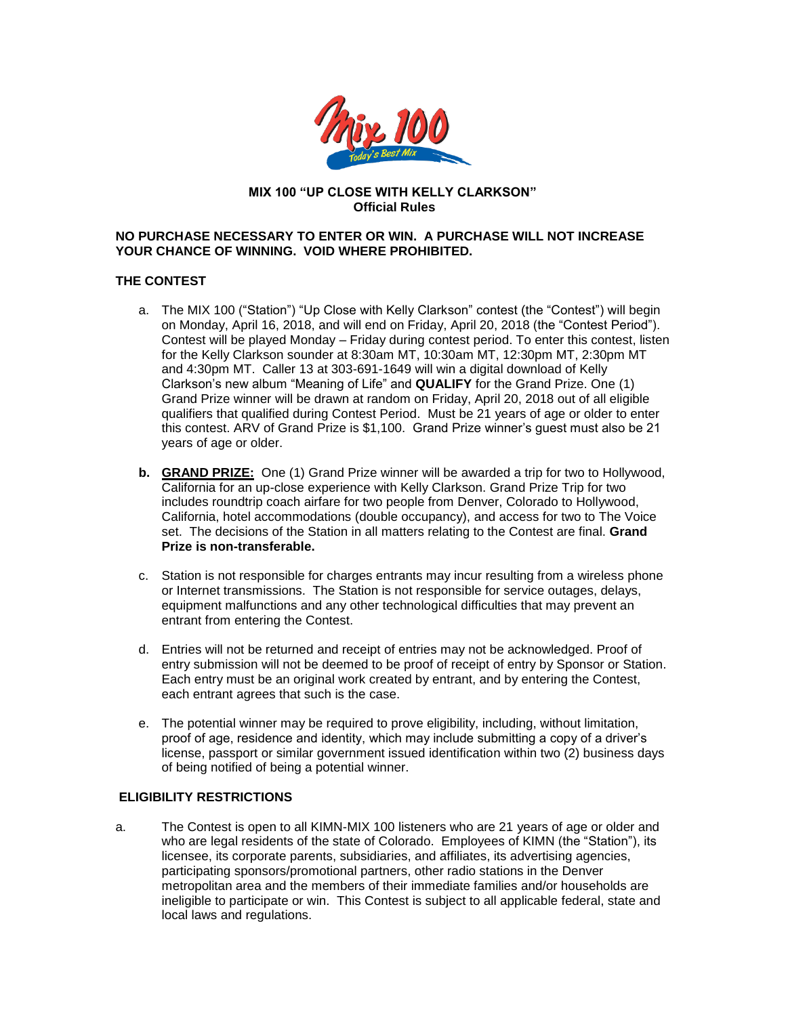

#### **MIX 100 "UP CLOSE WITH KELLY CLARKSON" Official Rules**

## **NO PURCHASE NECESSARY TO ENTER OR WIN. A PURCHASE WILL NOT INCREASE YOUR CHANCE OF WINNING. VOID WHERE PROHIBITED.**

#### **THE CONTEST**

- a. The MIX 100 ("Station") "Up Close with Kelly Clarkson" contest (the "Contest") will begin on Monday, April 16, 2018, and will end on Friday, April 20, 2018 (the "Contest Period"). Contest will be played Monday – Friday during contest period. To enter this contest, listen for the Kelly Clarkson sounder at 8:30am MT, 10:30am MT, 12:30pm MT, 2:30pm MT and 4:30pm MT. Caller 13 at 303-691-1649 will win a digital download of Kelly Clarkson's new album "Meaning of Life" and **QUALIFY** for the Grand Prize. One (1) Grand Prize winner will be drawn at random on Friday, April 20, 2018 out of all eligible qualifiers that qualified during Contest Period. Must be 21 years of age or older to enter this contest. ARV of Grand Prize is \$1,100. Grand Prize winner's guest must also be 21 years of age or older.
- **b. GRAND PRIZE:** One (1) Grand Prize winner will be awarded a trip for two to Hollywood, California for an up-close experience with Kelly Clarkson. Grand Prize Trip for two includes roundtrip coach airfare for two people from Denver, Colorado to Hollywood, California, hotel accommodations (double occupancy), and access for two to The Voice set. The decisions of the Station in all matters relating to the Contest are final. **Grand Prize is non-transferable.**
- c. Station is not responsible for charges entrants may incur resulting from a wireless phone or Internet transmissions. The Station is not responsible for service outages, delays, equipment malfunctions and any other technological difficulties that may prevent an entrant from entering the Contest.
- d. Entries will not be returned and receipt of entries may not be acknowledged. Proof of entry submission will not be deemed to be proof of receipt of entry by Sponsor or Station. Each entry must be an original work created by entrant, and by entering the Contest, each entrant agrees that such is the case.
- e. The potential winner may be required to prove eligibility, including, without limitation, proof of age, residence and identity, which may include submitting a copy of a driver's license, passport or similar government issued identification within two (2) business days of being notified of being a potential winner.

# **ELIGIBILITY RESTRICTIONS**

a. The Contest is open to all KIMN-MIX 100 listeners who are 21 years of age or older and who are legal residents of the state of Colorado. Employees of KIMN (the "Station"), its licensee, its corporate parents, subsidiaries, and affiliates, its advertising agencies, participating sponsors/promotional partners, other radio stations in the Denver metropolitan area and the members of their immediate families and/or households are ineligible to participate or win. This Contest is subject to all applicable federal, state and local laws and regulations.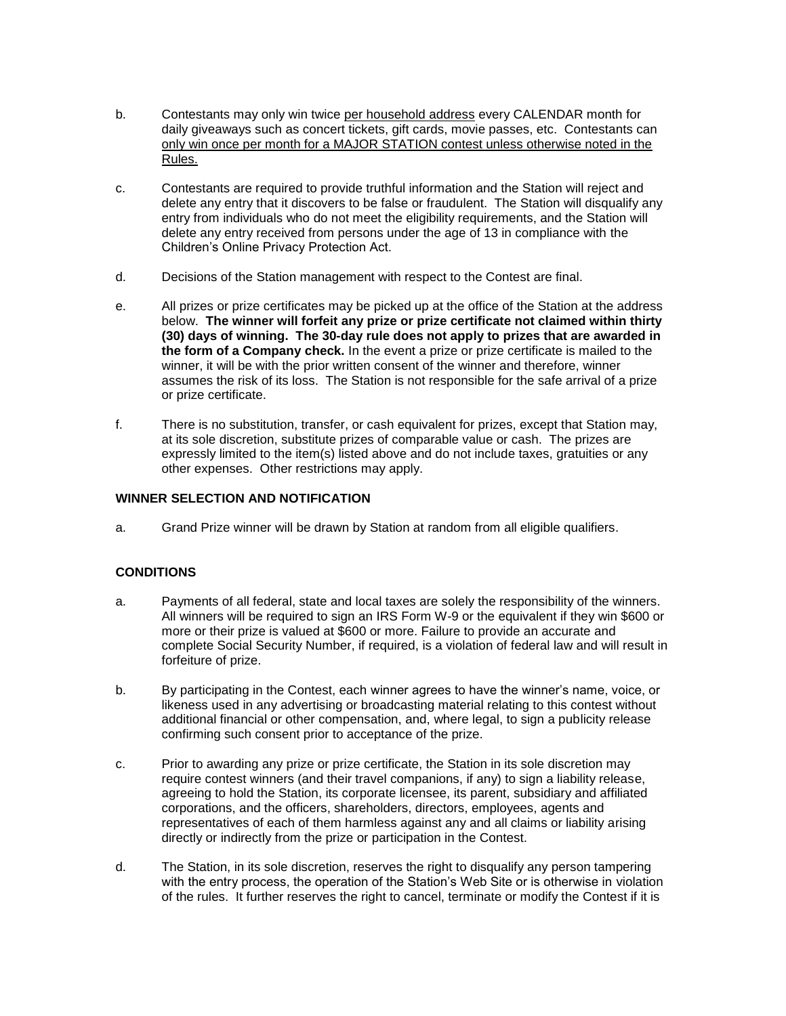- b. Contestants may only win twice per household address every CALENDAR month for daily giveaways such as concert tickets, gift cards, movie passes, etc. Contestants can only win once per month for a MAJOR STATION contest unless otherwise noted in the Rules.
- c. Contestants are required to provide truthful information and the Station will reject and delete any entry that it discovers to be false or fraudulent. The Station will disqualify any entry from individuals who do not meet the eligibility requirements, and the Station will delete any entry received from persons under the age of 13 in compliance with the Children's Online Privacy Protection Act.
- d. Decisions of the Station management with respect to the Contest are final.
- e. All prizes or prize certificates may be picked up at the office of the Station at the address below. **The winner will forfeit any prize or prize certificate not claimed within thirty (30) days of winning. The 30-day rule does not apply to prizes that are awarded in the form of a Company check.** In the event a prize or prize certificate is mailed to the winner, it will be with the prior written consent of the winner and therefore, winner assumes the risk of its loss. The Station is not responsible for the safe arrival of a prize or prize certificate.
- f. There is no substitution, transfer, or cash equivalent for prizes, except that Station may, at its sole discretion, substitute prizes of comparable value or cash. The prizes are expressly limited to the item(s) listed above and do not include taxes, gratuities or any other expenses. Other restrictions may apply.

## **WINNER SELECTION AND NOTIFICATION**

a. Grand Prize winner will be drawn by Station at random from all eligible qualifiers.

# **CONDITIONS**

- a. Payments of all federal, state and local taxes are solely the responsibility of the winners. All winners will be required to sign an IRS Form W-9 or the equivalent if they win \$600 or more or their prize is valued at \$600 or more. Failure to provide an accurate and complete Social Security Number, if required, is a violation of federal law and will result in forfeiture of prize.
- b. By participating in the Contest, each winner agrees to have the winner's name, voice, or likeness used in any advertising or broadcasting material relating to this contest without additional financial or other compensation, and, where legal, to sign a publicity release confirming such consent prior to acceptance of the prize.
- c. Prior to awarding any prize or prize certificate, the Station in its sole discretion may require contest winners (and their travel companions, if any) to sign a liability release, agreeing to hold the Station, its corporate licensee, its parent, subsidiary and affiliated corporations, and the officers, shareholders, directors, employees, agents and representatives of each of them harmless against any and all claims or liability arising directly or indirectly from the prize or participation in the Contest.
- d. The Station, in its sole discretion, reserves the right to disqualify any person tampering with the entry process, the operation of the Station's Web Site or is otherwise in violation of the rules. It further reserves the right to cancel, terminate or modify the Contest if it is